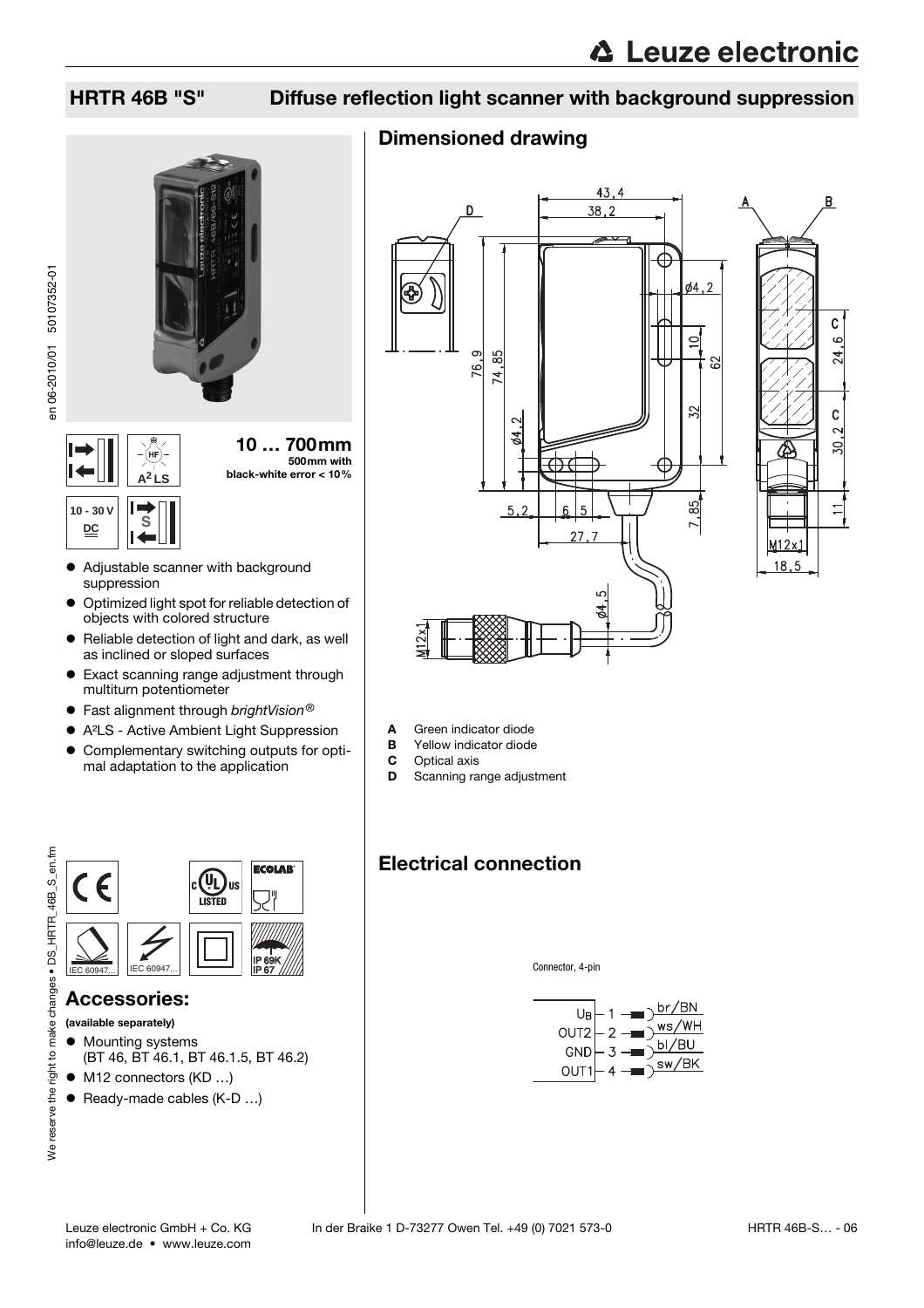### HRTR 46B "S" Diffuse reflection light scanner with background suppression

### Dimensioned drawing





- 
- **A** Green indicator diode<br>**B** Yellow indicator diode **B** Yellow indicator diode<br>**C** Optical axis
- **C** Optical axis<br>**D** Scanning ra
- Scanning range adjustment

## Electrical connection

Connector, 4-pin





**DC S**





#### • Adjustable scanner with background suppression

- $\bullet$  Optimized light spot for reliable detection of objects with colored structure
- $\bullet$  Reliable detection of light and dark, as well as inclined or sloped surfaces
- Exact scanning range adjustment through multiturn potentiometer
- $\bullet$  Fast alignment through brightVision®
- A<sup>2</sup>LS Active Ambient Light Suppression • Complementary switching outputs for opti-
- mal adaptation to the application



### Accessories:

(available separately)

- Mounting systems (BT 46, BT 46.1, BT 46.1.5, BT 46.2)
- $\bullet$  M12 connectors (KD ...)
- $\bullet$  Ready-made cables (K-D ...)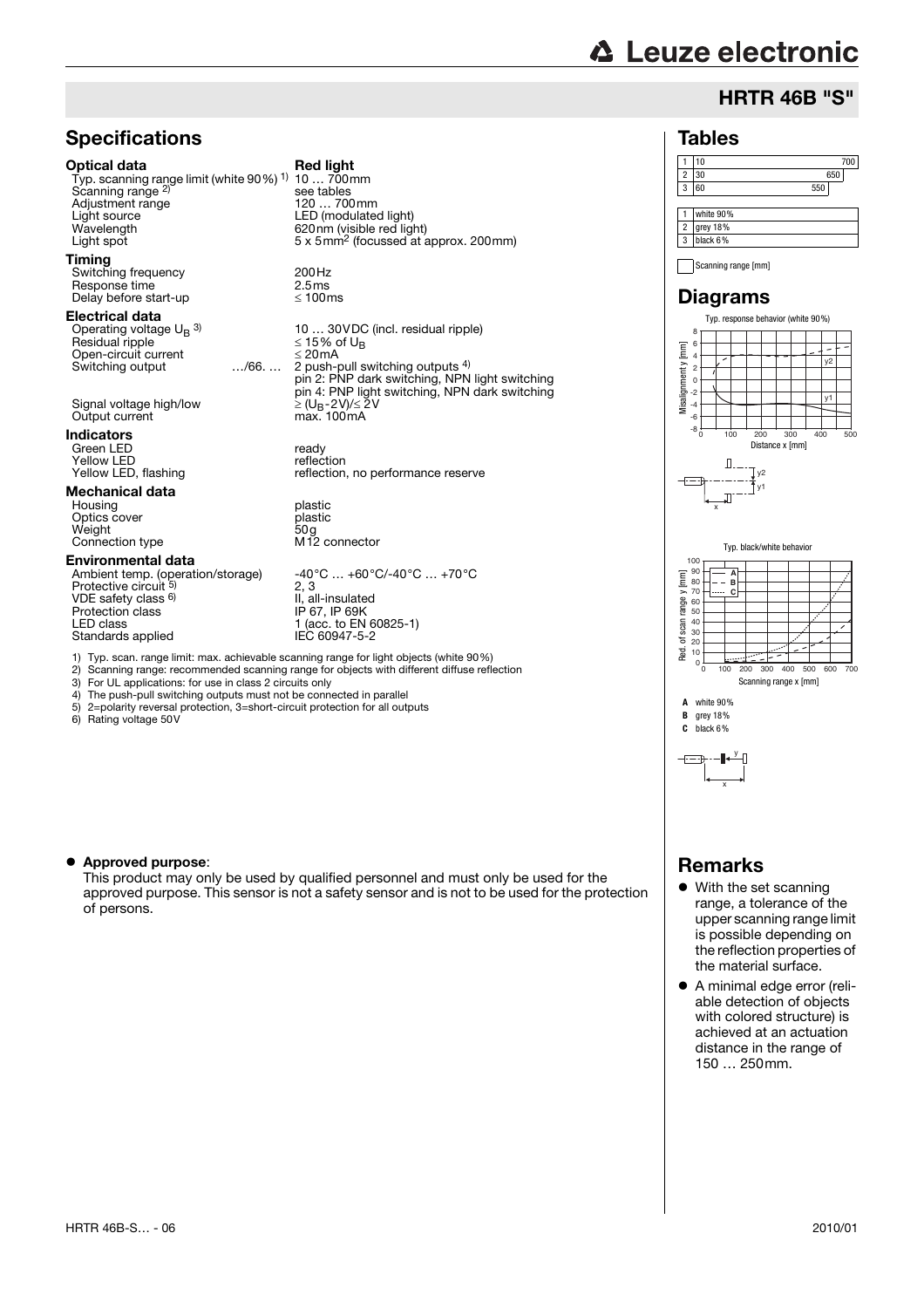## **∆ Leuze electronic**

### HRTR 46B "S"

### **Specifications**

#### Optical data Red light

Typ. scanning range limit (white 90%) 1) Scanning range<sup>2</sup> Adjustment range<br>Light source Light source LED (modulated light) Light spot **Example 2** Smm<sup>2</sup> (focussed at approx. 200 mm)

#### Timing

Switching frequency 200Hz<br>
Response time 2.5 ms Response time  $2.5 \text{ms}$ <br>Delay before start-up  $\leq 100 \text{ms}$ Delay before start-up

#### Electrical data

Operating voltage UB 3) Residual ripple ≤ 15% of UB Open-circuit current<br>Switching output .... /66....

Signal voltage high/low Output current

### Indicators

Green LED ready Yellow LED reflection

### Mechanical data

Housing plastic<br>Optics cover the plastic plastic Optics cover plastic Weight **Connection type** 

#### Environmental data

Ambient temp. (operation/storage) -40°C … +60°C/-40°C … +70°C<br>Protective circuit <sup>5)</sup> 2, 3 VDE safety class <sup>6)</sup><br>Protection class II, all-insulated Protection class IP 67, IP 69K LED class 1 (acc. to EN 60825-1) Standards applied IEC 60947-5-2

10 … 700mm see tables<br>120 ... 700mm 620nm (visible red light)

10 … 30VDC (incl. residual ripple)<br> $\leq$  15% of U<sub>B</sub><br> $\leq$  20mA Switching output …/66. … 2 push-pull switching outputs 4) pin 2: PNP dark switching, NPN light switching pin 4: PNP light switching, NPN dark switching<br> $\geq$  (U<sub>B</sub>-2V)/≤ 2V<br>max. 100mA

Yellow LED, flashing reflection, no performance reserve

2, 3

- 1) Typ. scan. range limit: max. achievable scanning range for light objects (white 90%)
- 2) Scanning range: recommended scanning range for objects with different diffuse reflection 3) For UL applications: for use in class 2 circuits only
- 4) The push-pull switching outputs must not be connected in parallel
- 5) 2=polarity reversal protection, 3=short-circuit protection for all outputs
- 6) Rating voltage 50V

#### • Approved purpose:

This product may only be used by qualified personnel and must only be used for the approved purpose. This sensor is not a safety sensor and is not to be used for the protection of persons.

#### Tables 1 10 700 2 30 650 3 60 550 1 white 90% 2 grey 18% 3 black 6%

Scanning range [mm]

#### Diagrams







**B** grey 18% **C** black 6%

### y

x

## Remarks

- $\bullet$  With the set scanning range, a tolerance of the upper scanning range limit is possible depending on the reflection properties of the material surface.
- A minimal edge error (reliable detection of objects with colored structure) is achieved at an actuation distance in the range of 150 … 250mm.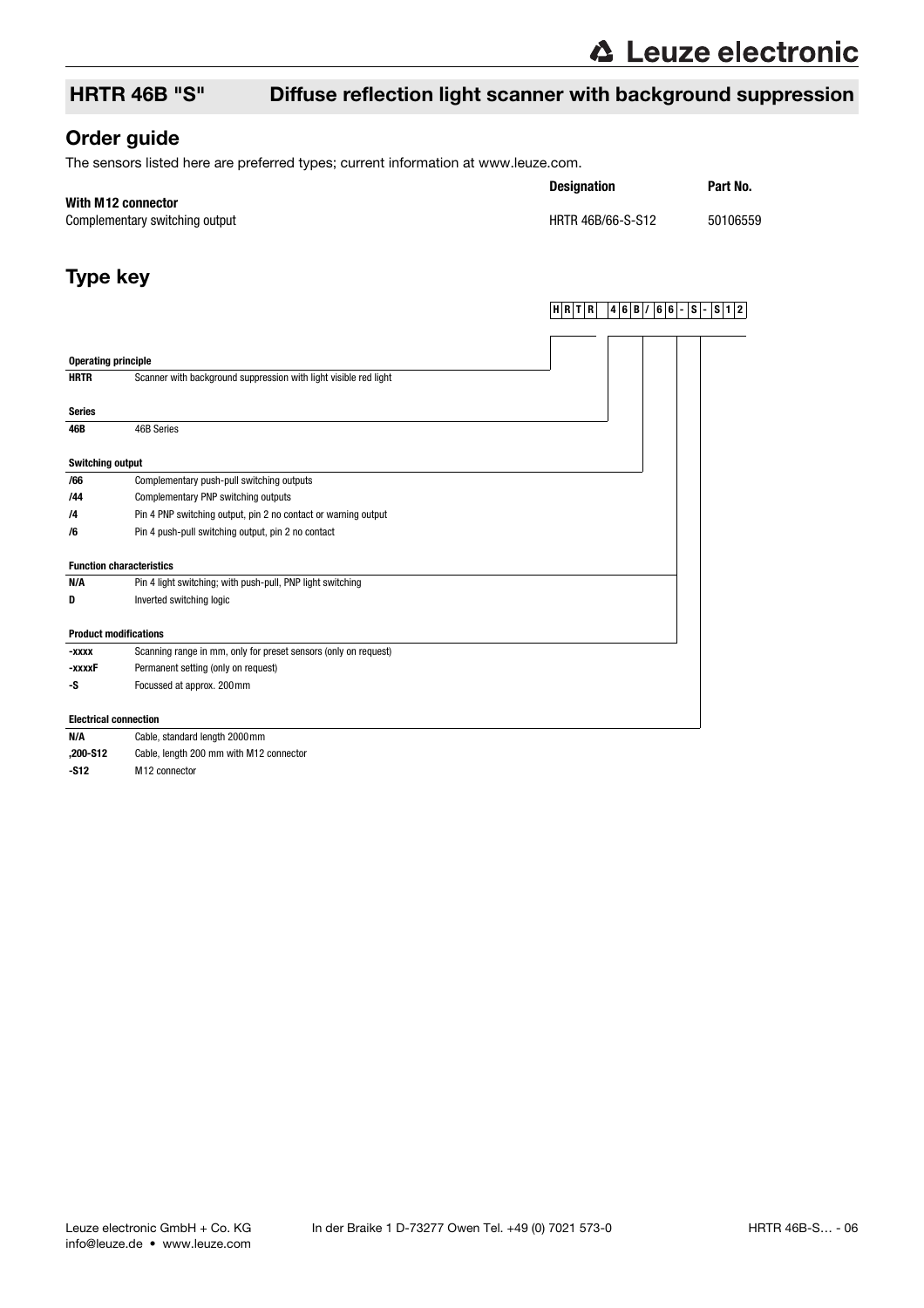### HRTR 46B "S" Diffuse reflection light scanner with background suppression

### Order guide

The sensors listed here are preferred types; current information at www.leuze.com.

#### **With M12 connector**

Complementary switching output discussed by the HRTR 46B/66-S-S12 50106559

# **Designation Part No.**

**HRTR 46B/ 66- S- S12**

### Type key

| <b>Operating principle</b>   |                                                                  |  |  |
|------------------------------|------------------------------------------------------------------|--|--|
| <b>HRTR</b>                  | Scanner with background suppression with light visible red light |  |  |
|                              |                                                                  |  |  |
| <b>Series</b>                |                                                                  |  |  |
| 46B                          | 46B Series                                                       |  |  |
| <b>Switching output</b>      |                                                                  |  |  |
| /66                          | Complementary push-pull switching outputs                        |  |  |
| /44                          | Complementary PNP switching outputs                              |  |  |
| /4                           | Pin 4 PNP switching output, pin 2 no contact or warning output   |  |  |
| /6                           | Pin 4 push-pull switching output, pin 2 no contact               |  |  |
|                              | <b>Function characteristics</b>                                  |  |  |
| N/A                          | Pin 4 light switching; with push-pull, PNP light switching       |  |  |
| D                            | Inverted switching logic                                         |  |  |
| <b>Product modifications</b> |                                                                  |  |  |
| -xxxx                        | Scanning range in mm, only for preset sensors (only on request)  |  |  |
| -xxxxF                       | Permanent setting (only on request)                              |  |  |
| -S                           | Focussed at approx. 200mm                                        |  |  |
| <b>Electrical connection</b> |                                                                  |  |  |
|                              |                                                                  |  |  |

| N/A      | Cable, standard length 2000 mm          |
|----------|-----------------------------------------|
| .200-S12 | Cable, length 200 mm with M12 connector |
| $-S12$   | M <sub>12</sub> connector               |